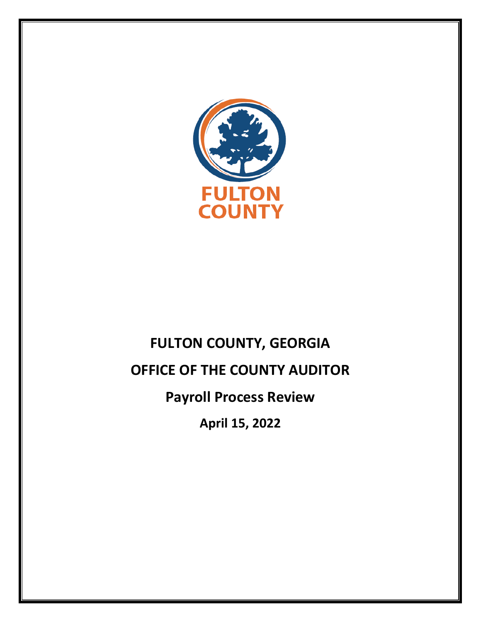

# **FULTON COUNTY, GEORGIA OFFICE OF THE COUNTY AUDITOR Payroll Process Review April 15, 2022**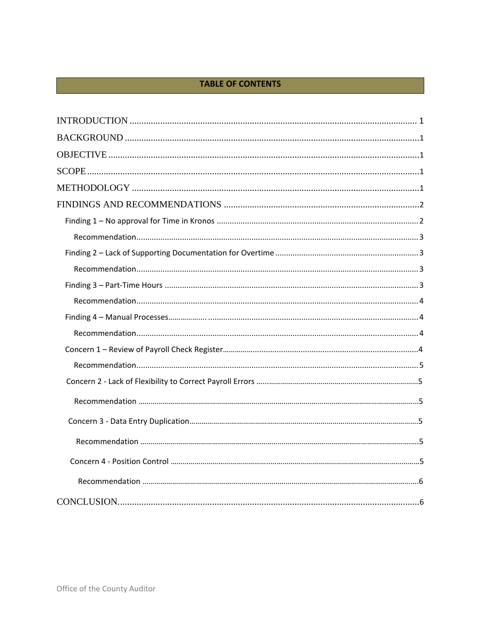## **TABLE OF CONTENTS**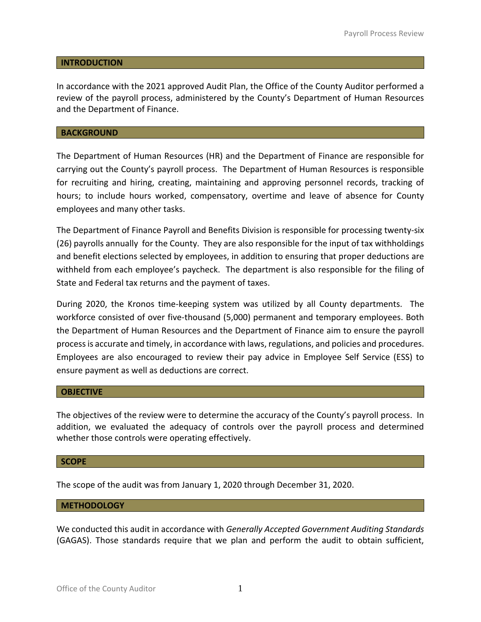#### <span id="page-2-0"></span>**INTRODUCTION**

In accordance with the 2021 approved Audit Plan, the Office of the County Auditor performed a review of the payroll process, administered by the County's Department of Human Resources and the Department of Finance.

#### <span id="page-2-1"></span>**BACKGROUND**

The Department of Human Resources (HR) and the Department of Finance are responsible for carrying out the County's payroll process. The Department of Human Resources is responsible for recruiting and hiring, creating, maintaining and approving personnel records, tracking of hours; to include hours worked, compensatory, overtime and leave of absence for County employees and many other tasks.

The Department of Finance Payroll and Benefits Division is responsible for processing twenty-six (26) payrolls annually for the County. They are also responsible for the input of tax withholdings and benefit elections selected by employees, in addition to ensuring that proper deductions are withheld from each employee's paycheck. The department is also responsible for the filing of State and Federal tax returns and the payment of taxes.

During 2020, the Kronos time-keeping system was utilized by all County departments. The workforce consisted of over five-thousand (5,000) permanent and temporary employees. Both the Department of Human Resources and the Department of Finance aim to ensure the payroll process is accurate and timely, in accordance with laws, regulations, and policies and procedures. Employees are also encouraged to review their pay advice in Employee Self Service (ESS) to ensure payment as well as deductions are correct.

#### <span id="page-2-2"></span>**OBJECTIVE**

The objectives of the review were to determine the accuracy of the County's payroll process. In addition, we evaluated the adequacy of controls over the payroll process and determined whether those controls were operating effectively.

#### <span id="page-2-3"></span>**SCOPE**

The scope of the audit was from January 1, 2020 through December 31, 2020.

#### <span id="page-2-4"></span>**METHODOLOGY**

We conducted this audit in accordance with *Generally Accepted Government Auditing Standards* (GAGAS). Those standards require that we plan and perform the audit to obtain sufficient,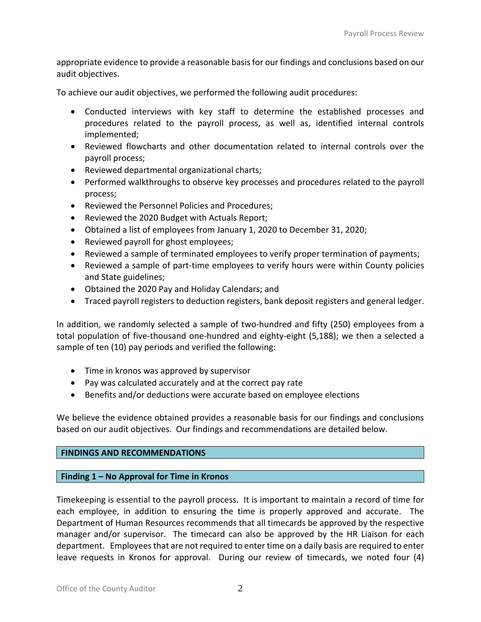appropriate evidence to provide a reasonable basis for our findings and conclusions based on our audit objectives.

To achieve our audit objectives, we performed the following audit procedures:

- Conducted interviews with key staff to determine the established processes and procedures related to the payroll process, as well as, identified internal controls implemented;
- Reviewed flowcharts and other documentation related to internal controls over the payroll process;
- Reviewed departmental organizational charts;
- Performed walkthroughs to observe key processes and procedures related to the payroll process;
- Reviewed the Personnel Policies and Procedures;
- Reviewed the 2020 Budget with Actuals Report;
- Obtained a list of employees from January 1, 2020 to December 31, 2020;
- Reviewed payroll for ghost employees;
- Reviewed a sample of terminated employees to verify proper termination of payments;
- Reviewed a sample of part-time employees to verify hours were within County policies and State guidelines;
- Obtained the 2020 Pay and Holiday Calendars; and
- Traced payroll registers to deduction registers, bank deposit registers and general ledger.

In addition, we randomly selected a sample of two-hundred and fifty (250) employees from a total population of five-thousand one-hundred and eighty-eight (5,188); we then a selected a sample of ten (10) pay periods and verified the following:

- Time in kronos was approved by supervisor
- Pay was calculated accurately and at the correct pay rate
- Benefits and/or deductions were accurate based on employee elections

We believe the evidence obtained provides a reasonable basis for our findings and conclusions based on our audit objectives. Our findings and recommendations are detailed below.

## <span id="page-3-0"></span>**FINDINGS AND RECOMMENDATIONS**

## <span id="page-3-1"></span>**Finding 1 – No Approval for Time in Kronos**

Timekeeping is essential to the payroll process. It is important to maintain a record of time for each employee, in addition to ensuring the time is properly approved and accurate. The Department of Human Resources recommends that all timecards be approved by the respective manager and/or supervisor. The timecard can also be approved by the HR Liaison for each department. Employees that are not required to enter time on a daily basis are required to enter leave requests in Kronos for approval. During our review of timecards, we noted four (4)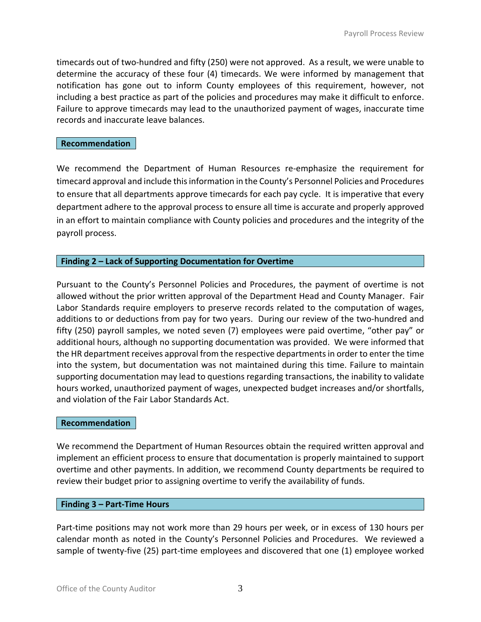timecards out of two-hundred and fifty (250) were not approved. As a result, we were unable to determine the accuracy of these four (4) timecards. We were informed by management that notification has gone out to inform County employees of this requirement, however, not including a best practice as part of the policies and procedures may make it difficult to enforce. Failure to approve timecards may lead to the unauthorized payment of wages, inaccurate time records and inaccurate leave balances.

#### <span id="page-4-0"></span>**Recommendation**

We recommend the Department of Human Resources re-emphasize the requirement for timecard approval and include this information in the County's Personnel Policies and Procedures to ensure that all departments approve timecards for each pay cycle. It is imperative that every department adhere to the approval process to ensure all time is accurate and properly approved in an effort to maintain compliance with County policies and procedures and the integrity of the payroll process.

## <span id="page-4-1"></span>**Finding 2 – Lack of Supporting Documentation for Overtime**

Pursuant to the County's Personnel Policies and Procedures, the payment of overtime is not allowed without the prior written approval of the Department Head and County Manager. Fair Labor Standards require employers to preserve records related to the computation of wages, additions to or deductions from pay for two years. During our review of the two-hundred and fifty (250) payroll samples, we noted seven (7) employees were paid overtime, "other pay" or additional hours, although no supporting documentation was provided. We were informed that the HR department receives approval from the respective departmentsin order to enter the time into the system, but documentation was not maintained during this time. Failure to maintain supporting documentation may lead to questions regarding transactions, the inability to validate hours worked, unauthorized payment of wages, unexpected budget increases and/or shortfalls, and violation of the Fair Labor Standards Act.

## <span id="page-4-2"></span>**Recommendation**

We recommend the Department of Human Resources obtain the required written approval and implement an efficient process to ensure that documentation is properly maintained to support overtime and other payments. In addition, we recommend County departments be required to review their budget prior to assigning overtime to verify the availability of funds.

#### **Finding 3 – Part-Time Hours**

Part-time positions may not work more than 29 hours per week, or in excess of 130 hours per calendar month as noted in the County's Personnel Policies and Procedures. We reviewed a sample of twenty-five (25) part-time employees and discovered that one (1) employee worked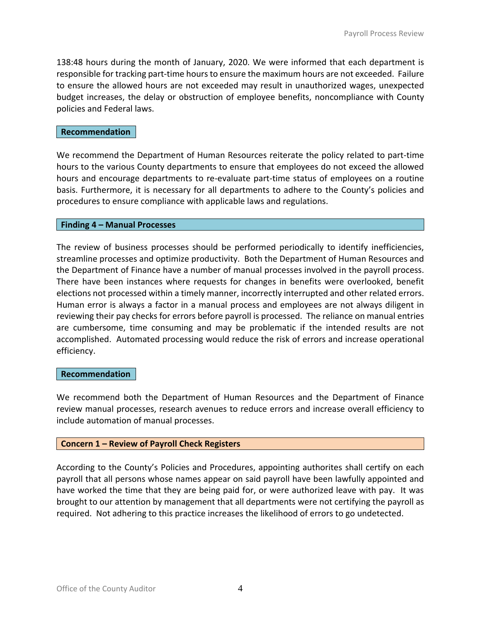138:48 hours during the month of January, 2020. We were informed that each department is responsible for tracking part-time hours to ensure the maximum hours are not exceeded. Failure to ensure the allowed hours are not exceeded may result in unauthorized wages, unexpected budget increases, the delay or obstruction of employee benefits, noncompliance with County policies and Federal laws.

## **Recommendation**

We recommend the Department of Human Resources reiterate the policy related to part-time hours to the various County departments to ensure that employees do not exceed the allowed hours and encourage departments to re-evaluate part-time status of employees on a routine basis. Furthermore, it is necessary for all departments to adhere to the County's policies and procedures to ensure compliance with applicable laws and regulations.

#### **Finding 4 – Manual Processes**

The review of business processes should be performed periodically to identify inefficiencies, streamline processes and optimize productivity. Both the Department of Human Resources and the Department of Finance have a number of manual processes involved in the payroll process. There have been instances where requests for changes in benefits were overlooked, benefit elections not processed within a timely manner, incorrectly interrupted and other related errors. Human error is always a factor in a manual process and employees are not always diligent in reviewing their pay checks for errors before payroll is processed. The reliance on manual entries are cumbersome, time consuming and may be problematic if the intended results are not accomplished. Automated processing would reduce the risk of errors and increase operational efficiency.

#### **Recommendation**

We recommend both the Department of Human Resources and the Department of Finance review manual processes, research avenues to reduce errors and increase overall efficiency to include automation of manual processes.

#### **Concern 1 – Review of Payroll Check Registers**

According to the County's Policies and Procedures, appointing authorites shall certify on each payroll that all persons whose names appear on said payroll have been lawfully appointed and have worked the time that they are being paid for, or were authorized leave with pay. It was brought to our attention by management that all departments were not certifying the payroll as required. Not adhering to this practice increases the likelihood of errors to go undetected.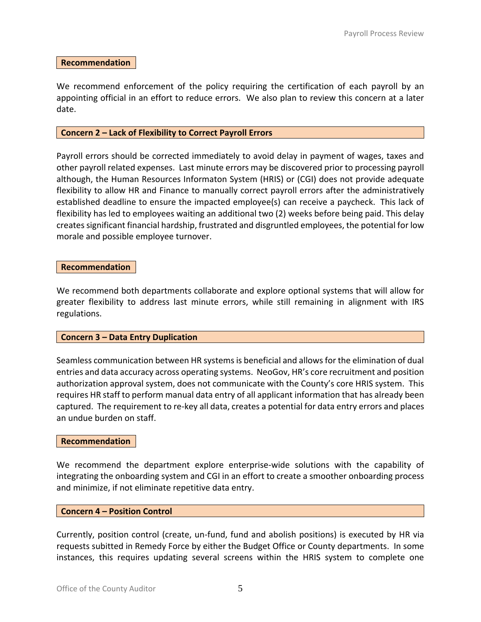#### **Recommendation**

We recommend enforcement of the policy requiring the certification of each payroll by an appointing official in an effort to reduce errors. We also plan to review this concern at a later date.

#### **Concern 2 – Lack of Flexibility to Correct Payroll Errors**

Payroll errors should be corrected immediately to avoid delay in payment of wages, taxes and other payroll related expenses. Last minute errors may be discovered prior to processing payroll although, the Human Resources Informaton System (HRIS) or (CGI) does not provide adequate flexibility to allow HR and Finance to manually correct payroll errors after the administratively established deadline to ensure the impacted employee(s) can receive a paycheck. This lack of flexibility has led to employees waiting an additional two (2) weeks before being paid. This delay creates significant financial hardship, frustrated and disgruntled employees, the potential for low morale and possible employee turnover.

#### **Recommendation**

We recommend both departments collaborate and explore optional systems that will allow for greater flexibility to address last minute errors, while still remaining in alignment with IRS regulations.

#### **Concern 3 – Data Entry Duplication**

Seamless communication between HR systems is beneficial and allows for the elimination of dual entries and data accuracy across operating systems. NeoGov, HR's core recruitment and position authorization approval system, does not communicate with the County's core HRIS system. This requires HR staff to perform manual data entry of all applicant information that has already been captured. The requirement to re-key all data, creates a potential for data entry errors and places an undue burden on staff.

#### **Recommendation**

We recommend the department explore enterprise-wide solutions with the capability of integrating the onboarding system and CGI in an effort to create a smoother onboarding process and minimize, if not eliminate repetitive data entry.

## **Concern 4 – Position Control**

Currently, position control (create, un-fund, fund and abolish positions) is executed by HR via requests subitted in Remedy Force by either the Budget Office or County departments. In some instances, this requires updating several screens within the HRIS system to complete one